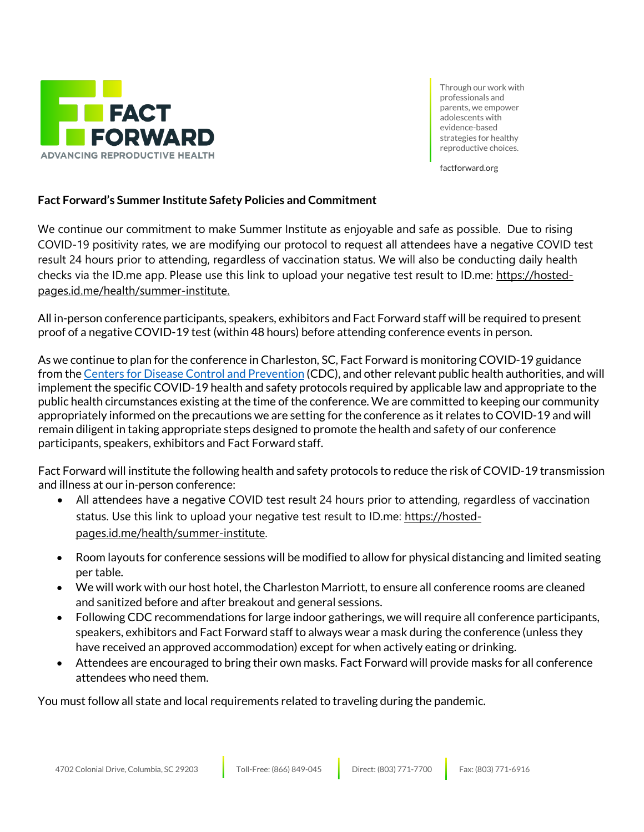

Through our work with professionals and parents, we empower adolescents with evidence-based strategies for healthy reproductive choices.

factforward.org

## **Fact Forward's Summer Institute Safety Policies and Commitment**

We continue our commitment to make Summer Institute as enjoyable and safe as possible. Due to rising COVID-19 positivity rates, we are modifying our protocol to request all attendees have a negative COVID test result 24 hours prior to attending, regardless of vaccination status. We will also be conducting daily health checks via the ID.me app. Please use this link to upload your negative test result to ID.me: [https://hosted](https://hosted-pages.id.me/health/summer-institute)[pages.id.me/health/summer-institute.](https://hosted-pages.id.me/health/summer-institute)

All in-person conference participants, speakers, exhibitors and Fact Forward staff will be required to present proof of a negative COVID-19 test (within 48 hours) before attending conference events in person.

As we continue to plan for the conference in Charleston, SC, Fact Forward is monitoring COVID-19 guidance from the Centers for Disease Control and [Prevention](https://www.cdc.gov/coronavirus/2019-ncov/your-health/index.html) (CDC), and other relevant public health authorities, and will implement the specific COVID-19 health and safety protocols required by applicable law and appropriate to the public health circumstances existing at the time of the conference. We are committed to keeping our community appropriately informed on the precautions we are setting for the conference as it relates to COVID-19 and will remain diligent in taking appropriate steps designed to promote the health and safety of our conference participants, speakers, exhibitors and Fact Forward staff.

Fact Forward will institute the following health and safety protocols to reduce the risk of COVID-19 transmission and illness at our in-person conference:

- All attendees have a negative COVID test result 24 hours prior to attending, regardless of vaccination status. Use this link to upload your negative test result to ID.me: [https://hosted](https://hosted-pages.id.me/health/summer-institute)[pages.id.me/health/summer-institute.](https://hosted-pages.id.me/health/summer-institute)
- Room layouts for conference sessions will be modified to allow for physical distancing and limited seating per table.
- We will work with our host hotel, the Charleston Marriott, to ensure all conference rooms are cleaned and sanitized before and after breakout and general sessions.
- Following CDC recommendations for large indoor gatherings, we will require all conference participants, speakers, exhibitors and Fact Forward staff to always wear a mask during the conference (unless they have received an approved accommodation) except for when actively eating or drinking.
- Attendees are encouraged to bring their own masks. Fact Forward will provide masks for all conference attendees who need them.

You must follow all state and local requirements related to traveling during the pandemic.